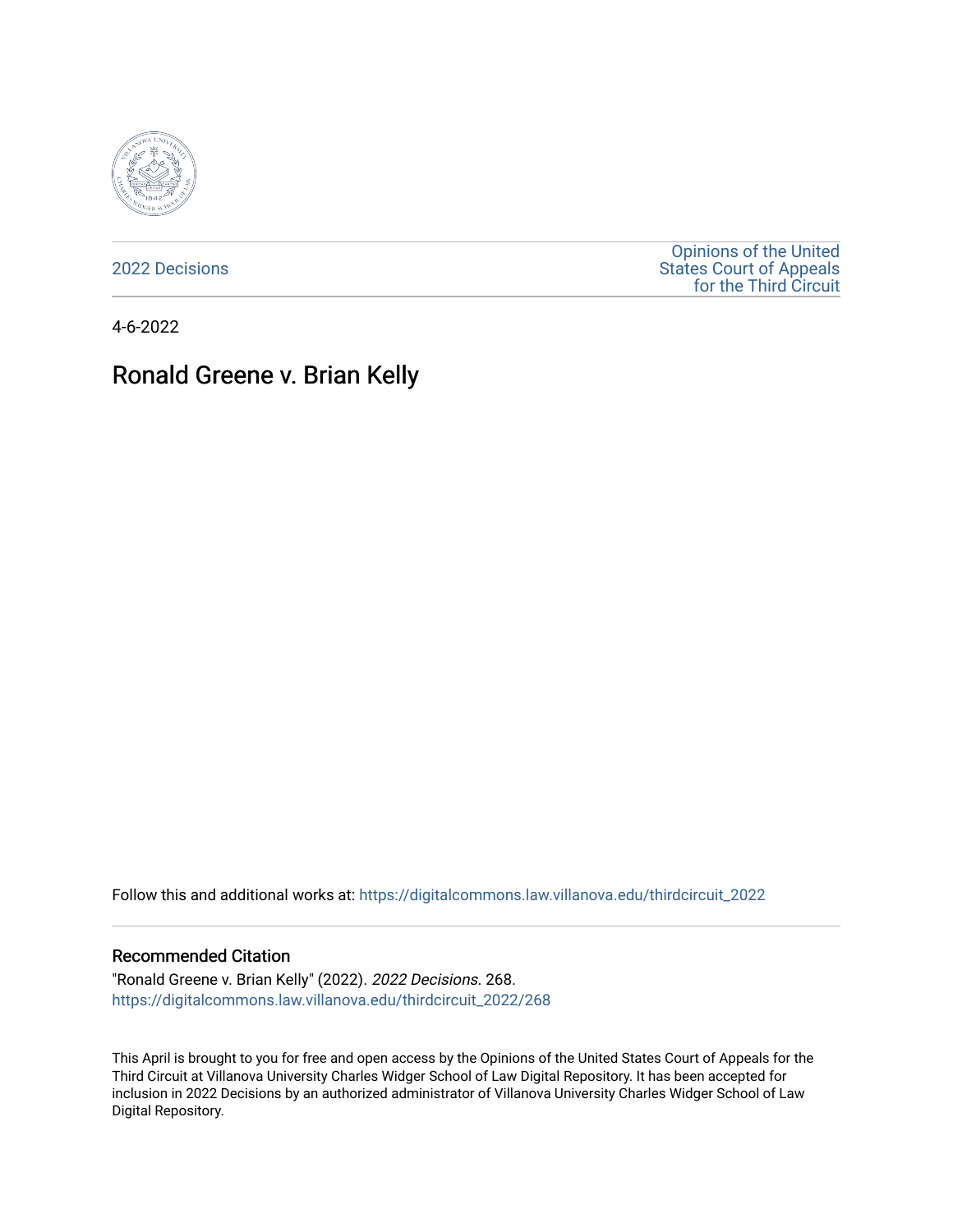

[2022 Decisions](https://digitalcommons.law.villanova.edu/thirdcircuit_2022)

[Opinions of the United](https://digitalcommons.law.villanova.edu/thirdcircuit)  [States Court of Appeals](https://digitalcommons.law.villanova.edu/thirdcircuit)  [for the Third Circuit](https://digitalcommons.law.villanova.edu/thirdcircuit) 

4-6-2022

# Ronald Greene v. Brian Kelly

Follow this and additional works at: [https://digitalcommons.law.villanova.edu/thirdcircuit\\_2022](https://digitalcommons.law.villanova.edu/thirdcircuit_2022?utm_source=digitalcommons.law.villanova.edu%2Fthirdcircuit_2022%2F268&utm_medium=PDF&utm_campaign=PDFCoverPages) 

#### Recommended Citation

"Ronald Greene v. Brian Kelly" (2022). 2022 Decisions. 268. [https://digitalcommons.law.villanova.edu/thirdcircuit\\_2022/268](https://digitalcommons.law.villanova.edu/thirdcircuit_2022/268?utm_source=digitalcommons.law.villanova.edu%2Fthirdcircuit_2022%2F268&utm_medium=PDF&utm_campaign=PDFCoverPages)

This April is brought to you for free and open access by the Opinions of the United States Court of Appeals for the Third Circuit at Villanova University Charles Widger School of Law Digital Repository. It has been accepted for inclusion in 2022 Decisions by an authorized administrator of Villanova University Charles Widger School of Law Digital Repository.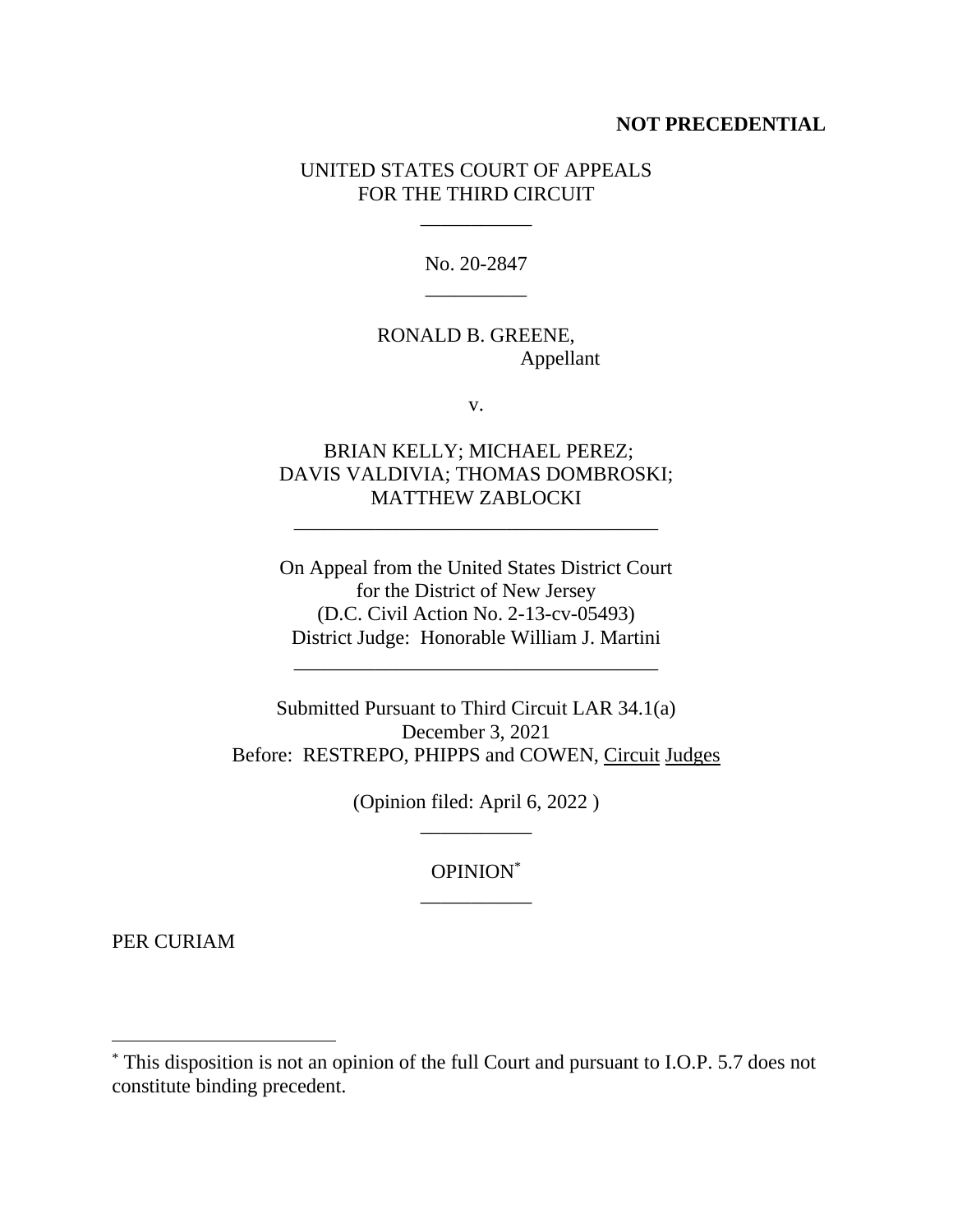#### **NOT PRECEDENTIAL**

#### UNITED STATES COURT OF APPEALS FOR THE THIRD CIRCUIT

\_\_\_\_\_\_\_\_\_\_\_

No. 20-2847 \_\_\_\_\_\_\_\_\_\_

## RONALD B. GREENE, Appellant

v.

### BRIAN KELLY; MICHAEL PEREZ; DAVIS VALDIVIA; THOMAS DOMBROSKI; MATTHEW ZABLOCKI

\_\_\_\_\_\_\_\_\_\_\_\_\_\_\_\_\_\_\_\_\_\_\_\_\_\_\_\_\_\_\_\_\_\_\_\_

On Appeal from the United States District Court for the District of New Jersey (D.C. Civil Action No. 2-13-cv-05493) District Judge: Honorable William J. Martini

\_\_\_\_\_\_\_\_\_\_\_\_\_\_\_\_\_\_\_\_\_\_\_\_\_\_\_\_\_\_\_\_\_\_\_\_

Submitted Pursuant to Third Circuit LAR 34.1(a) December 3, 2021 Before: RESTREPO, PHIPPS and COWEN, Circuit Judges

> (Opinion filed: April 6, 2022 ) \_\_\_\_\_\_\_\_\_\_\_

> > OPINION\* \_\_\_\_\_\_\_\_\_\_\_

PER CURIAM

<sup>\*</sup> This disposition is not an opinion of the full Court and pursuant to I.O.P. 5.7 does not constitute binding precedent.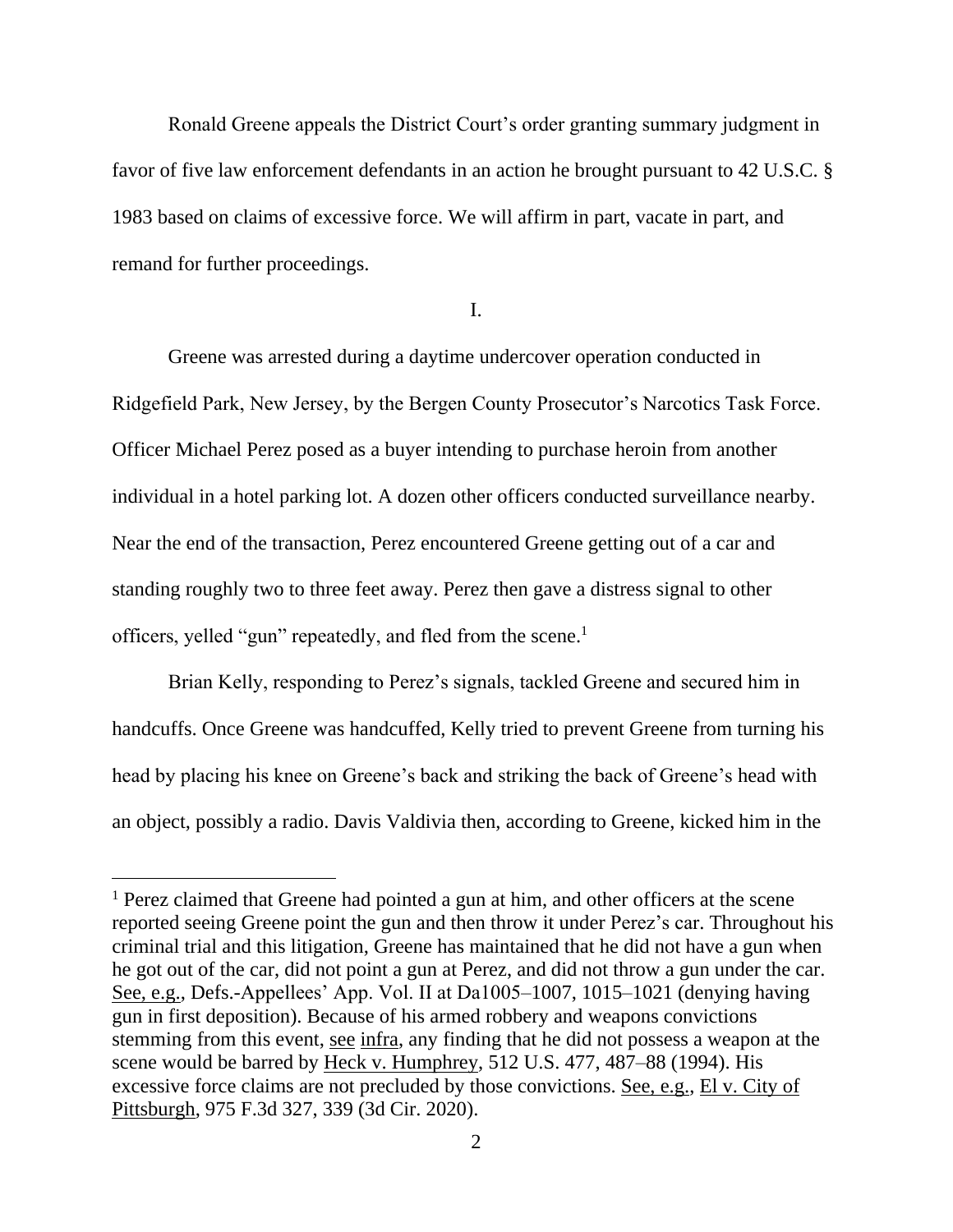Ronald Greene appeals the District Court's order granting summary judgment in favor of five law enforcement defendants in an action he brought pursuant to 42 U.S.C. § 1983 based on claims of excessive force. We will affirm in part, vacate in part, and remand for further proceedings.

I.

Greene was arrested during a daytime undercover operation conducted in Ridgefield Park, New Jersey, by the Bergen County Prosecutor's Narcotics Task Force. Officer Michael Perez posed as a buyer intending to purchase heroin from another individual in a hotel parking lot. A dozen other officers conducted surveillance nearby. Near the end of the transaction, Perez encountered Greene getting out of a car and standing roughly two to three feet away. Perez then gave a distress signal to other officers, yelled "gun" repeatedly, and fled from the scene.<sup>1</sup>

Brian Kelly, responding to Perez's signals, tackled Greene and secured him in handcuffs. Once Greene was handcuffed, Kelly tried to prevent Greene from turning his head by placing his knee on Greene's back and striking the back of Greene's head with an object, possibly a radio. Davis Valdivia then, according to Greene, kicked him in the

<sup>&</sup>lt;sup>1</sup> Perez claimed that Greene had pointed a gun at him, and other officers at the scene reported seeing Greene point the gun and then throw it under Perez's car. Throughout his criminal trial and this litigation, Greene has maintained that he did not have a gun when he got out of the car, did not point a gun at Perez, and did not throw a gun under the car. See, e.g., Defs.-Appellees' App. Vol. II at Da1005–1007, 1015–1021 (denying having gun in first deposition). Because of his armed robbery and weapons convictions stemming from this event, see infra, any finding that he did not possess a weapon at the scene would be barred by Heck v. Humphrey, 512 U.S. 477, 487–88 (1994). His excessive force claims are not precluded by those convictions. See, e.g., El v. City of Pittsburgh, 975 F.3d 327, 339 (3d Cir. 2020).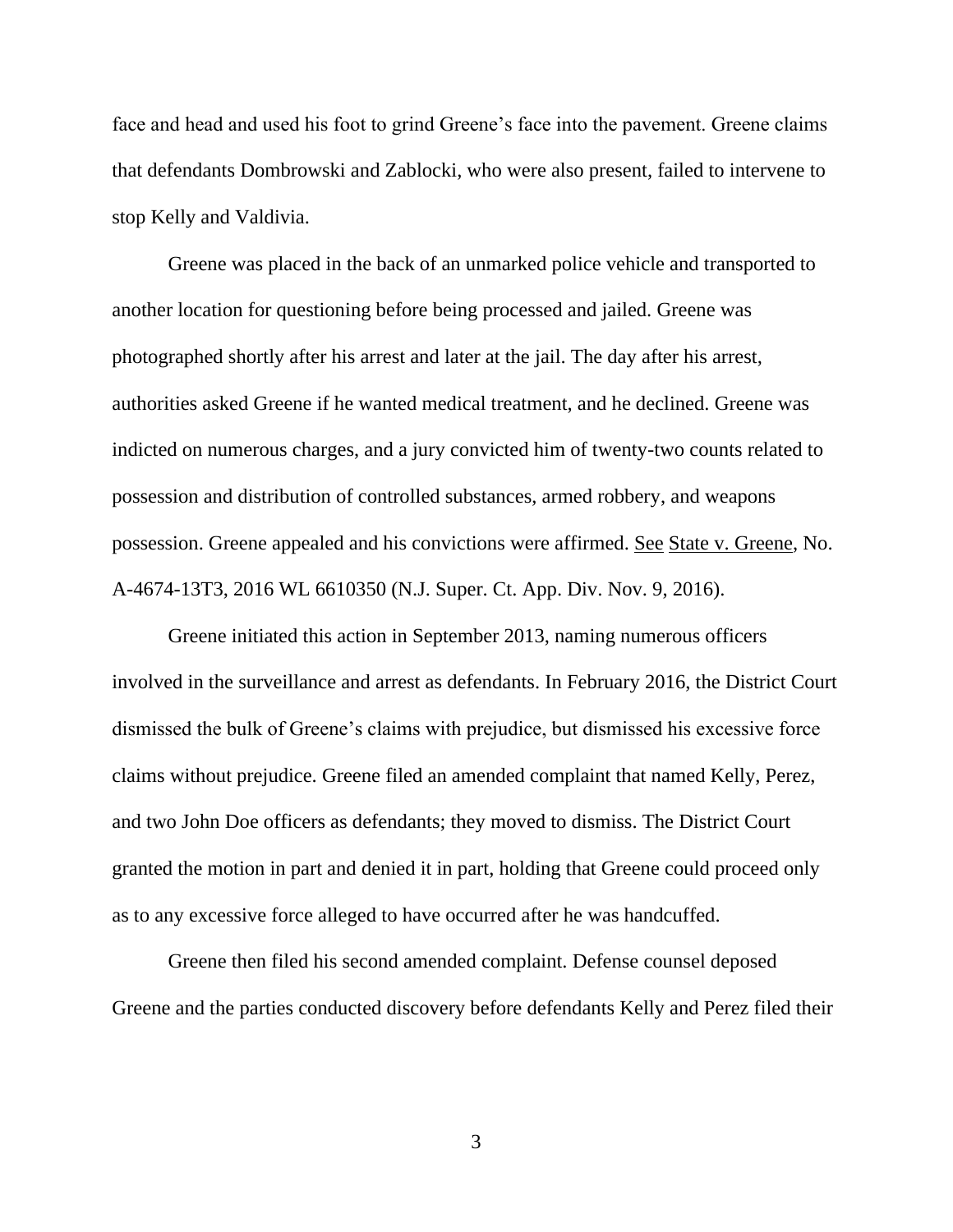face and head and used his foot to grind Greene's face into the pavement. Greene claims that defendants Dombrowski and Zablocki, who were also present, failed to intervene to stop Kelly and Valdivia.

Greene was placed in the back of an unmarked police vehicle and transported to another location for questioning before being processed and jailed. Greene was photographed shortly after his arrest and later at the jail. The day after his arrest, authorities asked Greene if he wanted medical treatment, and he declined. Greene was indicted on numerous charges, and a jury convicted him of twenty-two counts related to possession and distribution of controlled substances, armed robbery, and weapons possession. Greene appealed and his convictions were affirmed. See State v. Greene, No. A-4674-13T3, 2016 WL 6610350 (N.J. Super. Ct. App. Div. Nov. 9, 2016).

Greene initiated this action in September 2013, naming numerous officers involved in the surveillance and arrest as defendants. In February 2016, the District Court dismissed the bulk of Greene's claims with prejudice, but dismissed his excessive force claims without prejudice. Greene filed an amended complaint that named Kelly, Perez, and two John Doe officers as defendants; they moved to dismiss. The District Court granted the motion in part and denied it in part, holding that Greene could proceed only as to any excessive force alleged to have occurred after he was handcuffed.

Greene then filed his second amended complaint. Defense counsel deposed Greene and the parties conducted discovery before defendants Kelly and Perez filed their

3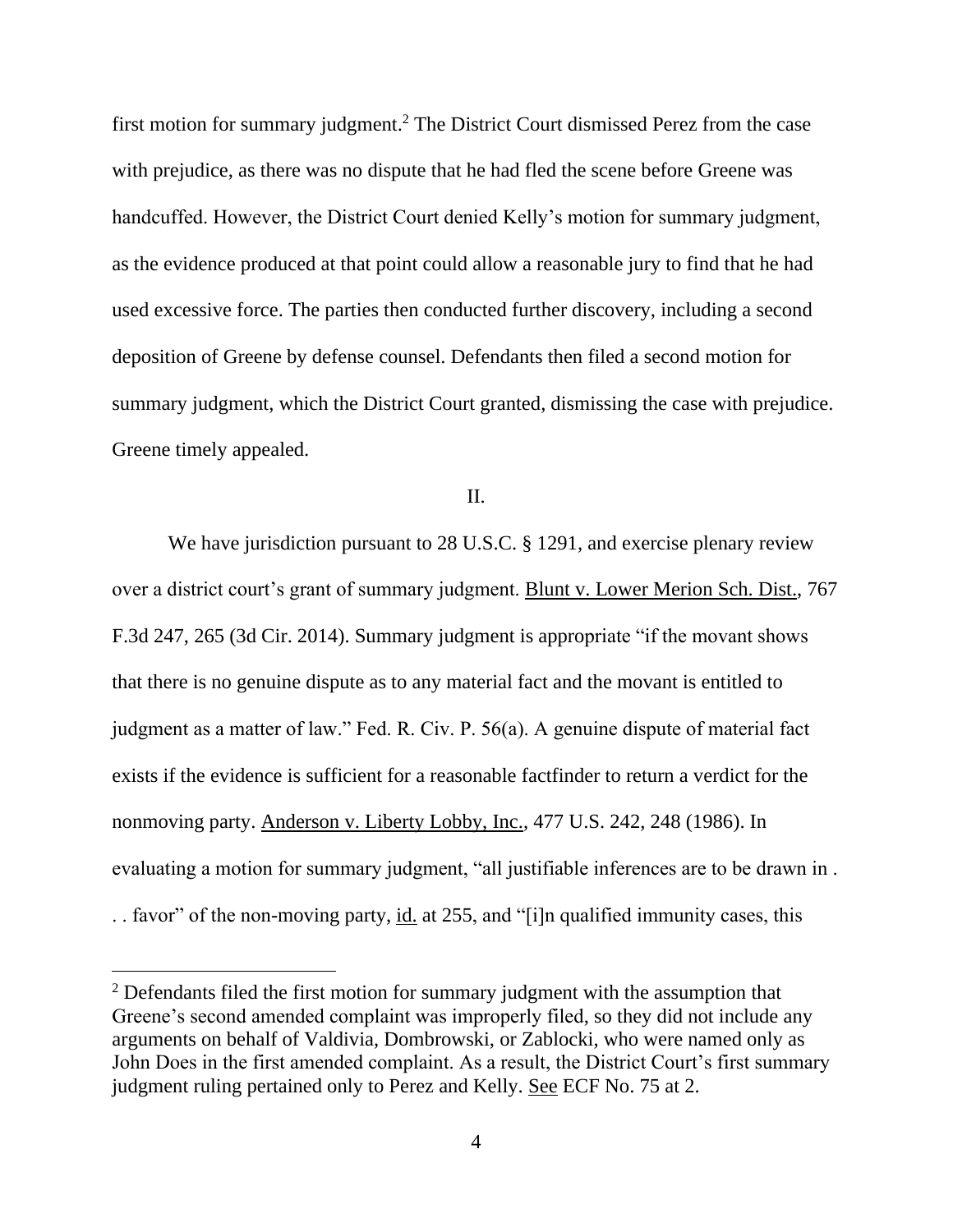first motion for summary judgment.<sup>2</sup> The District Court dismissed Perez from the case with prejudice, as there was no dispute that he had fled the scene before Greene was handcuffed. However, the District Court denied Kelly's motion for summary judgment, as the evidence produced at that point could allow a reasonable jury to find that he had used excessive force. The parties then conducted further discovery, including a second deposition of Greene by defense counsel. Defendants then filed a second motion for summary judgment, which the District Court granted, dismissing the case with prejudice. Greene timely appealed.

II.

We have jurisdiction pursuant to 28 U.S.C. § 1291, and exercise plenary review over a district court's grant of summary judgment. Blunt v. Lower Merion Sch. Dist., 767 F.3d 247, 265 (3d Cir. 2014). Summary judgment is appropriate "if the movant shows that there is no genuine dispute as to any material fact and the movant is entitled to judgment as a matter of law." Fed. R. Civ. P. 56(a). A genuine dispute of material fact exists if the evidence is sufficient for a reasonable factfinder to return a verdict for the nonmoving party. Anderson v. Liberty Lobby, Inc., 477 U.S. 242, 248 (1986). In evaluating a motion for summary judgment, "all justifiable inferences are to be drawn in . . . favor" of the non-moving party, id. at 255, and "[i]n qualified immunity cases, this

<sup>&</sup>lt;sup>2</sup> Defendants filed the first motion for summary judgment with the assumption that Greene's second amended complaint was improperly filed, so they did not include any arguments on behalf of Valdivia, Dombrowski, or Zablocki, who were named only as John Does in the first amended complaint. As a result, the District Court's first summary judgment ruling pertained only to Perez and Kelly. See ECF No. 75 at 2.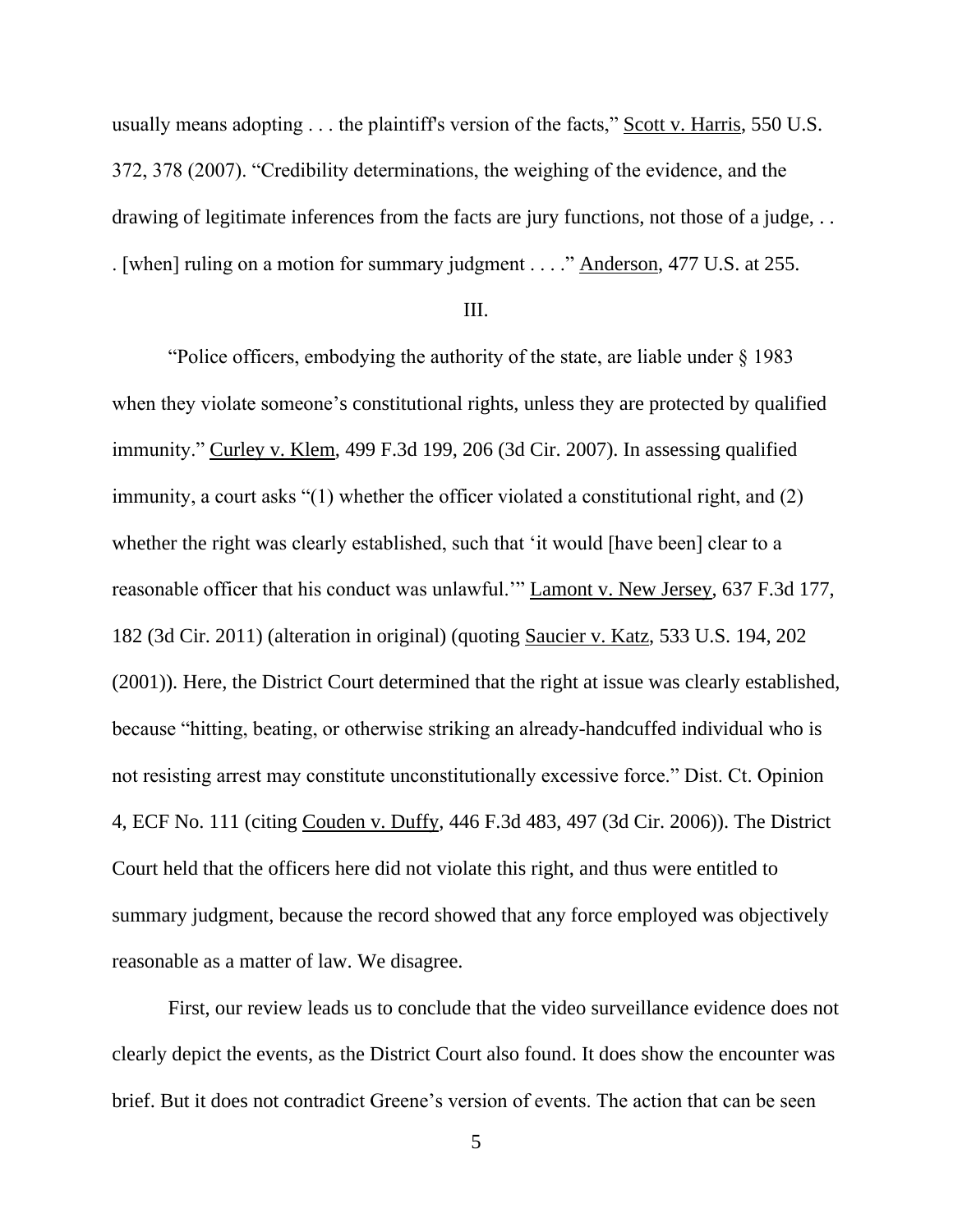usually means adopting . . . the plaintiff's version of the facts," Scott v. Harris, 550 U.S. 372, 378 (2007). "Credibility determinations, the weighing of the evidence, and the drawing of legitimate inferences from the facts are jury functions, not those of a judge, . . . [when] ruling on a motion for summary judgment . . . ." Anderson, 477 U.S. at 255.

#### III.

"Police officers, embodying the authority of the state, are liable under § 1983 when they violate someone's constitutional rights, unless they are protected by qualified immunity." Curley v. Klem, 499 F.3d 199, 206 (3d Cir. 2007). In assessing qualified immunity, a court asks "(1) whether the officer violated a constitutional right, and (2) whether the right was clearly established, such that 'it would [have been] clear to a reasonable officer that his conduct was unlawful.'" Lamont v. New Jersey, 637 F.3d 177, 182 (3d Cir. 2011) (alteration in original) (quoting Saucier v. Katz, 533 U.S. 194, 202 (2001)). Here, the District Court determined that the right at issue was clearly established, because "hitting, beating, or otherwise striking an already-handcuffed individual who is not resisting arrest may constitute unconstitutionally excessive force." Dist. Ct. Opinion 4, ECF No. 111 (citing Couden v. Duffy, 446 F.3d 483, 497 (3d Cir. 2006)). The District Court held that the officers here did not violate this right, and thus were entitled to summary judgment, because the record showed that any force employed was objectively reasonable as a matter of law. We disagree.

First, our review leads us to conclude that the video surveillance evidence does not clearly depict the events, as the District Court also found. It does show the encounter was brief. But it does not contradict Greene's version of events. The action that can be seen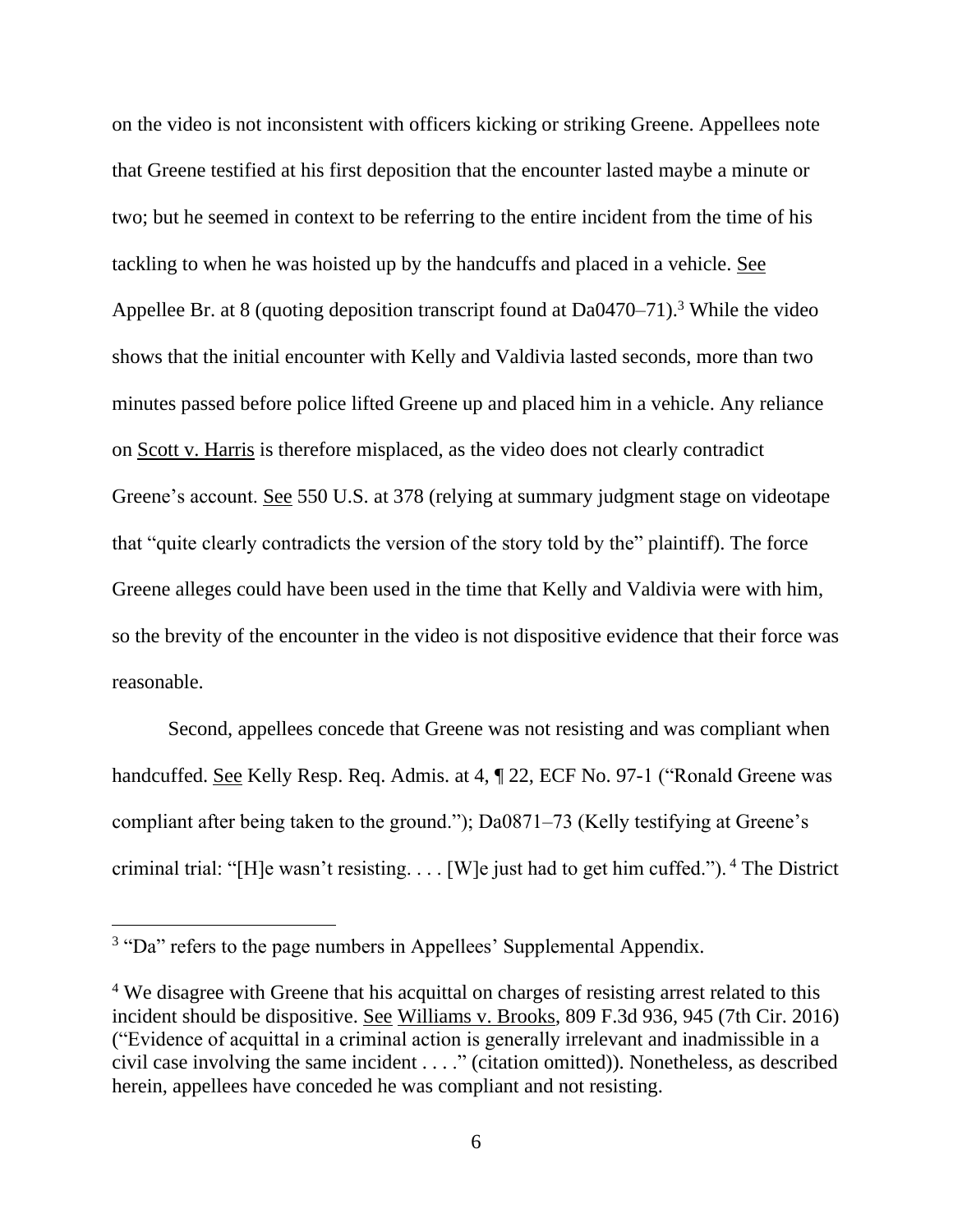on the video is not inconsistent with officers kicking or striking Greene. Appellees note that Greene testified at his first deposition that the encounter lasted maybe a minute or two; but he seemed in context to be referring to the entire incident from the time of his tackling to when he was hoisted up by the handcuffs and placed in a vehicle. See Appellee Br. at 8 (quoting deposition transcript found at Da0470–71).<sup>3</sup> While the video shows that the initial encounter with Kelly and Valdivia lasted seconds, more than two minutes passed before police lifted Greene up and placed him in a vehicle. Any reliance on Scott v. Harris is therefore misplaced, as the video does not clearly contradict Greene's account. See 550 U.S. at 378 (relying at summary judgment stage on videotape that "quite clearly contradicts the version of the story told by the" plaintiff). The force Greene alleges could have been used in the time that Kelly and Valdivia were with him, so the brevity of the encounter in the video is not dispositive evidence that their force was reasonable.

Second, appellees concede that Greene was not resisting and was compliant when handcuffed. See Kelly Resp. Req. Admis. at 4, ¶ 22, ECF No. 97-1 ("Ronald Greene was compliant after being taken to the ground."); Da0871–73 (Kelly testifying at Greene's criminal trial: "[H]e wasn't resisting. . . . [W]e just had to get him cuffed."). <sup>4</sup> The District

<sup>&</sup>lt;sup>3</sup> "Da" refers to the page numbers in Appellees' Supplemental Appendix.

<sup>&</sup>lt;sup>4</sup> We disagree with Greene that his acquittal on charges of resisting arrest related to this incident should be dispositive. See Williams v. Brooks, 809 F.3d 936, 945 (7th Cir. 2016) ("Evidence of acquittal in a criminal action is generally irrelevant and inadmissible in a civil case involving the same incident . . . ." (citation omitted)). Nonetheless, as described herein, appellees have conceded he was compliant and not resisting.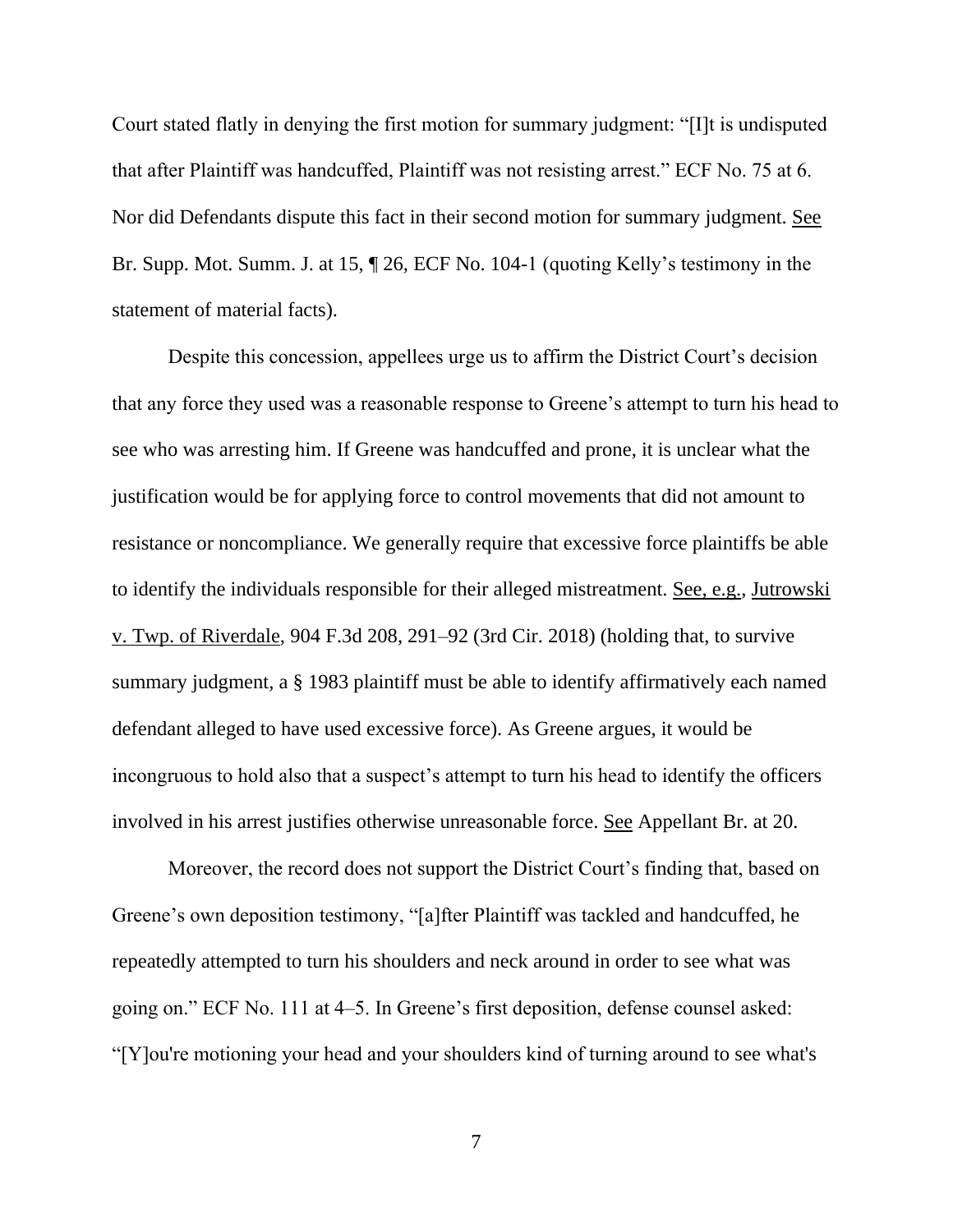Court stated flatly in denying the first motion for summary judgment: "[I]t is undisputed that after Plaintiff was handcuffed, Plaintiff was not resisting arrest." ECF No. 75 at 6. Nor did Defendants dispute this fact in their second motion for summary judgment. See Br. Supp. Mot. Summ. J. at 15, ¶ 26, ECF No. 104-1 (quoting Kelly's testimony in the statement of material facts).

Despite this concession, appellees urge us to affirm the District Court's decision that any force they used was a reasonable response to Greene's attempt to turn his head to see who was arresting him. If Greene was handcuffed and prone, it is unclear what the justification would be for applying force to control movements that did not amount to resistance or noncompliance. We generally require that excessive force plaintiffs be able to identify the individuals responsible for their alleged mistreatment. See, e.g., Jutrowski v. Twp. of Riverdale, 904 F.3d 208, 291–92 (3rd Cir. 2018) (holding that, to survive summary judgment, a § 1983 plaintiff must be able to identify affirmatively each named defendant alleged to have used excessive force). As Greene argues, it would be incongruous to hold also that a suspect's attempt to turn his head to identify the officers involved in his arrest justifies otherwise unreasonable force. See Appellant Br. at 20.

Moreover, the record does not support the District Court's finding that, based on Greene's own deposition testimony, "[a]fter Plaintiff was tackled and handcuffed, he repeatedly attempted to turn his shoulders and neck around in order to see what was going on." ECF No. 111 at 4–5. In Greene's first deposition, defense counsel asked: "[Y]ou're motioning your head and your shoulders kind of turning around to see what's

7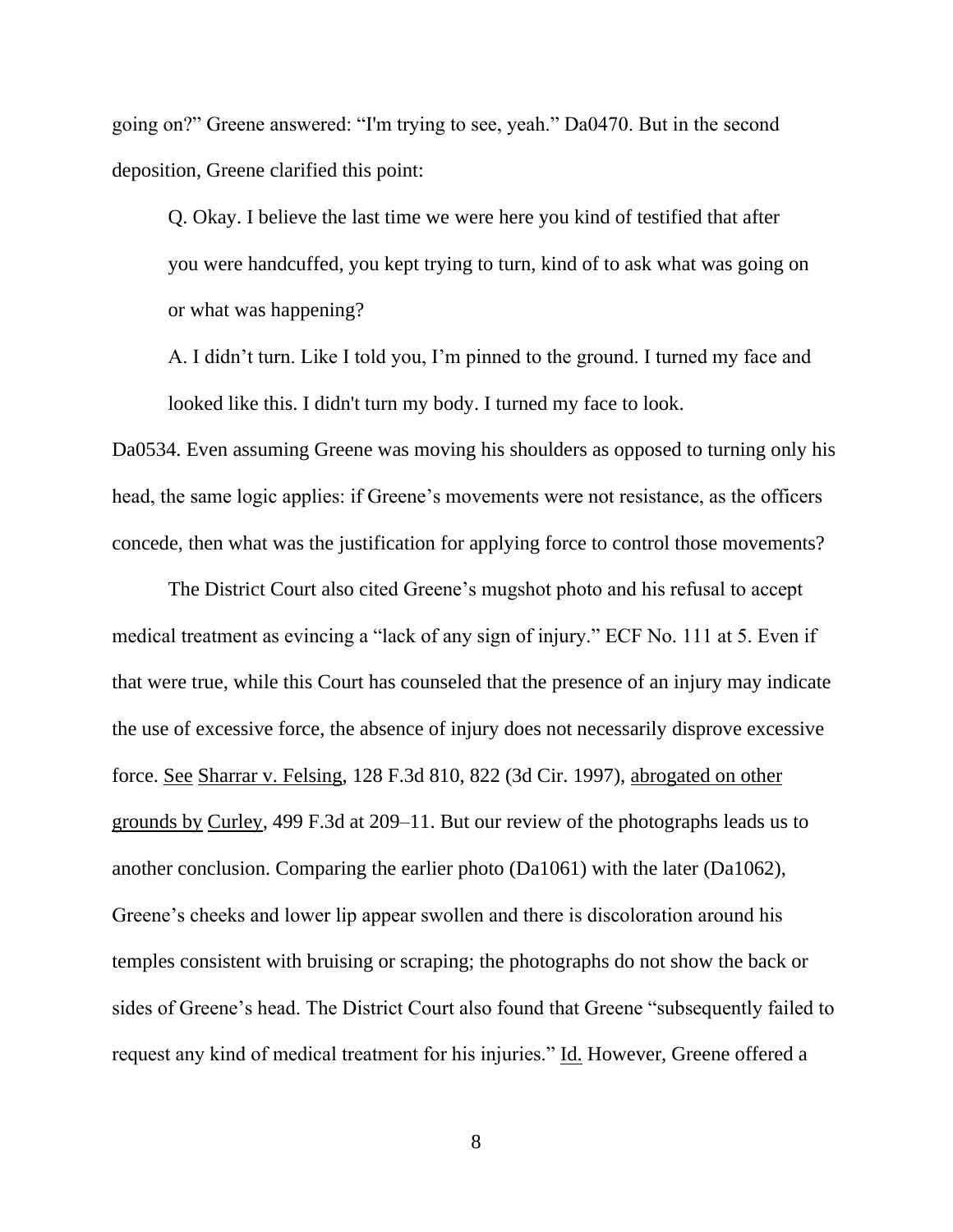going on?" Greene answered: "I'm trying to see, yeah." Da0470. But in the second deposition, Greene clarified this point:

Q. Okay. I believe the last time we were here you kind of testified that after you were handcuffed, you kept trying to turn, kind of to ask what was going on or what was happening?

A. I didn't turn. Like I told you, I'm pinned to the ground. I turned my face and looked like this. I didn't turn my body. I turned my face to look.

Da0534. Even assuming Greene was moving his shoulders as opposed to turning only his head, the same logic applies: if Greene's movements were not resistance, as the officers concede, then what was the justification for applying force to control those movements?

The District Court also cited Greene's mugshot photo and his refusal to accept medical treatment as evincing a "lack of any sign of injury." ECF No. 111 at 5. Even if that were true, while this Court has counseled that the presence of an injury may indicate the use of excessive force, the absence of injury does not necessarily disprove excessive force. See Sharrar v. Felsing, 128 F.3d 810, 822 (3d Cir. 1997), abrogated on other grounds by Curley, 499 F.3d at 209–11. But our review of the photographs leads us to another conclusion. Comparing the earlier photo (Da1061) with the later (Da1062), Greene's cheeks and lower lip appear swollen and there is discoloration around his temples consistent with bruising or scraping; the photographs do not show the back or sides of Greene's head. The District Court also found that Greene "subsequently failed to request any kind of medical treatment for his injuries." Id. However, Greene offered a

8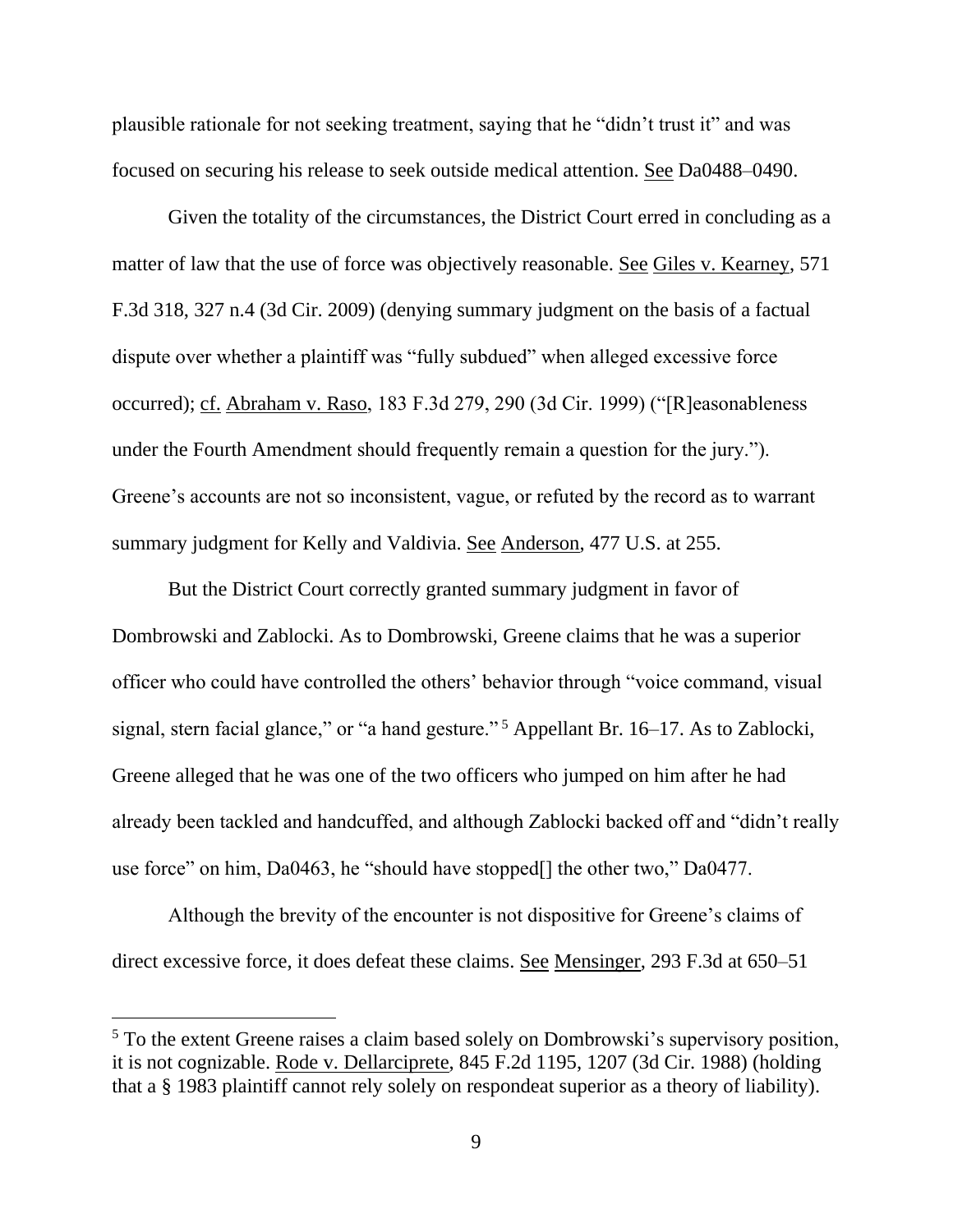plausible rationale for not seeking treatment, saying that he "didn't trust it" and was focused on securing his release to seek outside medical attention. See Da0488–0490.

Given the totality of the circumstances, the District Court erred in concluding as a matter of law that the use of force was objectively reasonable. See Giles v. Kearney, 571 F.3d 318, 327 n.4 (3d Cir. 2009) (denying summary judgment on the basis of a factual dispute over whether a plaintiff was "fully subdued" when alleged excessive force occurred); cf. Abraham v. Raso, 183 F.3d 279, 290 (3d Cir. 1999) ("[R]easonableness under the Fourth Amendment should frequently remain a question for the jury."). Greene's accounts are not so inconsistent, vague, or refuted by the record as to warrant summary judgment for Kelly and Valdivia. See Anderson, 477 U.S. at 255.

But the District Court correctly granted summary judgment in favor of Dombrowski and Zablocki. As to Dombrowski, Greene claims that he was a superior officer who could have controlled the others' behavior through "voice command, visual signal, stern facial glance," or "a hand gesture." <sup>5</sup> Appellant Br. 16–17. As to Zablocki, Greene alleged that he was one of the two officers who jumped on him after he had already been tackled and handcuffed, and although Zablocki backed off and "didn't really use force" on him, Da0463, he "should have stopped[] the other two," Da0477.

Although the brevity of the encounter is not dispositive for Greene's claims of direct excessive force, it does defeat these claims. See Mensinger, 293 F.3d at 650–51

<sup>5</sup> To the extent Greene raises a claim based solely on Dombrowski's supervisory position, it is not cognizable. Rode v. Dellarciprete, 845 F.2d 1195, 1207 (3d Cir. 1988) (holding that a § 1983 plaintiff cannot rely solely on respondeat superior as a theory of liability).